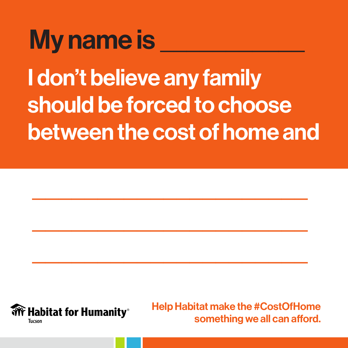### My name is  $\blacksquare$

I don't believe any family should be forced to choose between the cost of home and

\_\_\_\_\_\_\_\_\_\_\_\_\_\_\_\_\_\_\_\_\_

\_\_\_\_\_\_\_\_\_\_\_\_\_\_\_\_\_\_\_\_\_

\_\_\_\_\_\_\_\_\_\_\_\_\_\_\_\_\_\_\_\_\_

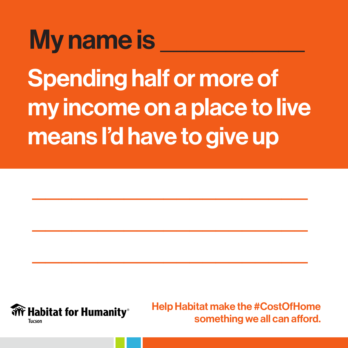### Spending half or more of my income on a place to live means I'd have to give up My name is \_

\_\_\_\_\_\_\_\_\_\_\_\_\_\_\_\_\_\_\_\_\_

\_\_\_\_\_\_\_\_\_\_\_\_\_\_\_\_\_\_\_\_\_

\_\_\_\_\_\_\_\_\_\_\_\_\_\_\_\_\_\_\_\_\_

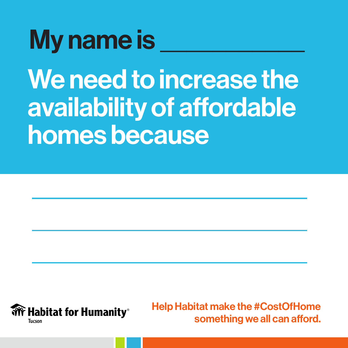### My name is

We need to increase the availability of affordable homes because

\_\_\_\_\_\_\_\_\_\_\_\_\_\_\_\_\_\_\_\_\_

 $\overline{\phantom{a}}$  , where  $\overline{\phantom{a}}$  , where  $\overline{\phantom{a}}$  , where  $\overline{\phantom{a}}$  , we have  $\overline{\phantom{a}}$ 

 $\overline{\phantom{a}}$  , where  $\overline{\phantom{a}}$  , where  $\overline{\phantom{a}}$  , where  $\overline{\phantom{a}}$  , we have  $\overline{\phantom{a}}$ 

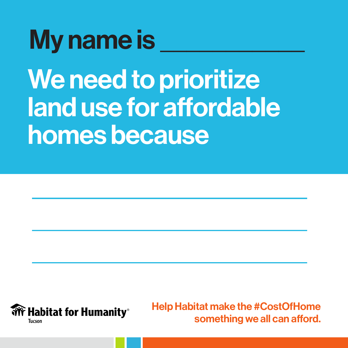### My name is

We need to prioritize land use for affordable homes because

\_\_\_\_\_\_\_\_\_\_\_\_\_\_\_\_\_\_\_\_\_

 $\overline{\phantom{a}}$  , where  $\overline{\phantom{a}}$  , where  $\overline{\phantom{a}}$  , where  $\overline{\phantom{a}}$  , we have  $\overline{\phantom{a}}$ 

 $\overline{\phantom{a}}$  , where  $\overline{\phantom{a}}$  , where  $\overline{\phantom{a}}$  , where  $\overline{\phantom{a}}$  , we have  $\overline{\phantom{a}}$ 

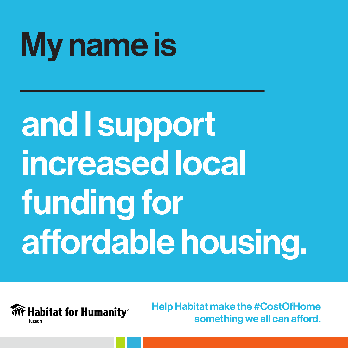### $\overline{\phantom{a}}$ <u>a</u> \_\_\_\_\_\_\_\_\_\_\_\_\_\_\_\_\_\_\_\_\_ affordable housing. and I support increased local funding for

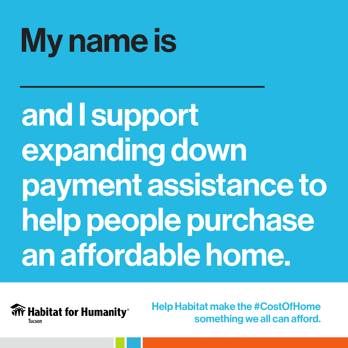payment assistance to help people purchase an affordable home. and I support expanding down

**Habitat for Humanity®** Tucson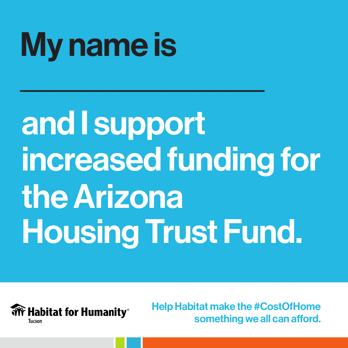#### $h \circ \Lambda$ <u>Liste the City of Europe</u> \_\_\_\_\_\_\_\_\_\_\_\_\_\_\_\_\_\_\_\_\_ and I support increased funding for the Arizona Housing Trust Fund.

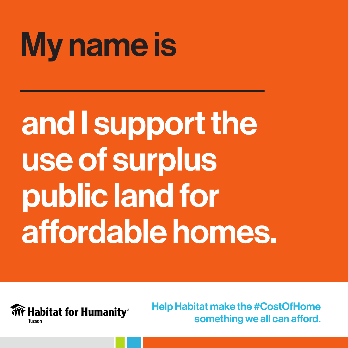#### \_\_\_Ar dia mandritra della provincia della contractore della contractore della contractore della contractore della co<br>Distribuzione della contractore della contractore della contractore della contractore della contractore della  $\blacksquare$ and I support the use of surplus public land for affordable homes.

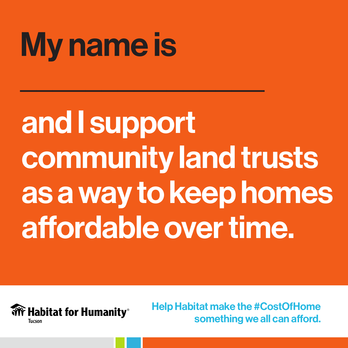### as a way to keep homes \_\_\_\_\_\_\_\_\_\_\_\_\_\_\_\_\_\_\_\_\_ and I support community land trusts affordable over time.

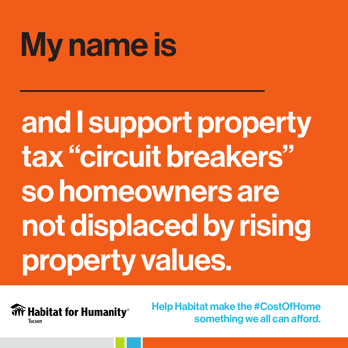### so homeowners are not displaced by rising <u>ronerty values where the state of the state of the state of the state of the state of the state of the state o</u> and I support property tax "circuit breakers" property values.

 $\widehat{\mathbf{W}}$  Habitat for Humanity® Tucson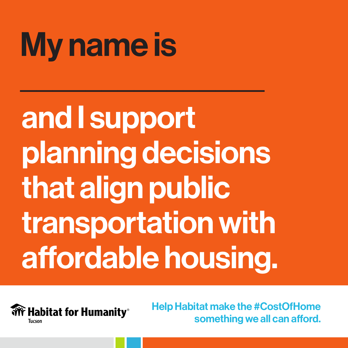that align public transportation with \_\_\_\_\_\_\_\_\_\_\_\_\_\_\_\_\_\_\_\_\_ affordable housing. and I support planning decisions

**We Habitat for Humanity**® **Tucson**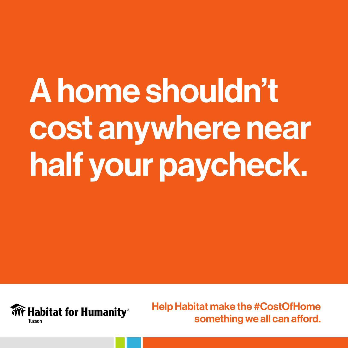# A home shouldn't cost anywhere near half your paycheck.

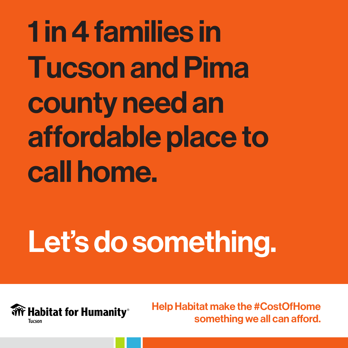1 in 4 families in **Tucson and Pima** county need an affordable place to call home.

## Let's do something.

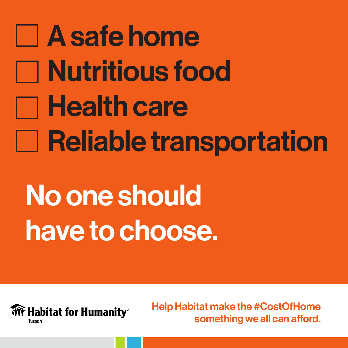# A safe home Nutritious food **Nealth care Late Reliable transportation** No one should have to choose.

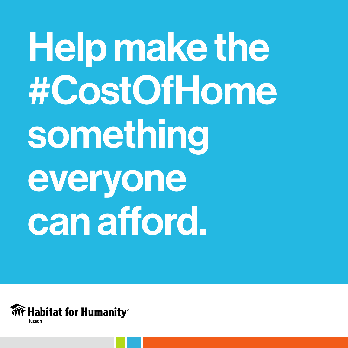Help make the #CostOfHome something everyone can afford.